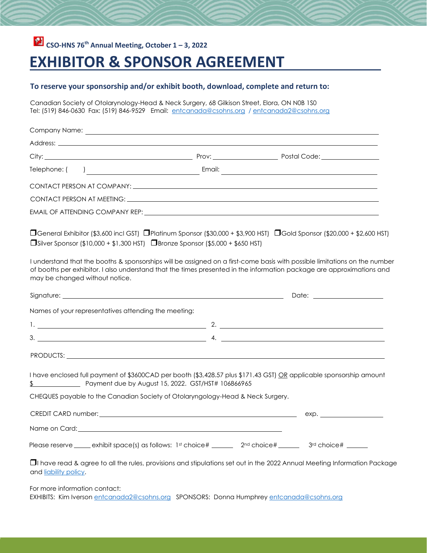## **CSO-HNS 76th Annual Meeting, October 1 – 3, 2022**

## **EXHIBITOR & SPONSOR AGREEMENT**

## **To reserve your sponsorship and/or exhibit booth, download, complete and return to:**

Canadian Society of Otolarynology-Head & Neck Surgery, 68 Gilkison Street, Elora, ON N0B 1S0 Tel: (519) 846-0630 Fax: (519) 846-9529 Email: entcanada@csohns.org / entcanada2@csohns.org

|                                | Telephone: ( ) Telephone: ( ) Email: Email: Email: Email: Email: Email: Email: Email: Property of the United States of the United States of the United States of the United States of the United States of the United States o       |  |                                                                                                                                   |
|--------------------------------|--------------------------------------------------------------------------------------------------------------------------------------------------------------------------------------------------------------------------------------|--|-----------------------------------------------------------------------------------------------------------------------------------|
|                                |                                                                                                                                                                                                                                      |  |                                                                                                                                   |
|                                |                                                                                                                                                                                                                                      |  |                                                                                                                                   |
|                                | EMAIL OF ATTENDING COMPANY REP: WE ARRIVE TO A SERIES AND THE SERIES OF A SERIES OF A SERIES OF A SERIES OF A STREET OF A SERIES OF A SERIES OF A SERIES OF A SERIES OF A SERIES OF A SERIES OF A SERIES OF A SERIES OF A SERI       |  |                                                                                                                                   |
|                                | □General Exhibitor (\$3,600 incl GST) □Platinum Sponsor (\$30,000 + \$3,900 HST) □Gold Sponsor (\$20,000 + \$2,600 HST)<br>$\Box$ Silver Sponsor (\$10,000 + \$1,300 HST) $\Box$ Bronze Sponsor (\$5,000 + \$650 HST)                |  |                                                                                                                                   |
| may be changed without notice. | of booths per exhibitor. I also understand that the times presented in the information package are approximations and                                                                                                                |  | I understand that the booths & sponsorships will be assigned on a first-come basis with possible limitations on the number        |
|                                |                                                                                                                                                                                                                                      |  |                                                                                                                                   |
|                                | Names of your representatives attending the meeting:                                                                                                                                                                                 |  |                                                                                                                                   |
|                                |                                                                                                                                                                                                                                      |  |                                                                                                                                   |
|                                |                                                                                                                                                                                                                                      |  |                                                                                                                                   |
|                                | PRODUCTS: <b>Example 2018</b>                                                                                                                                                                                                        |  |                                                                                                                                   |
|                                | I have enclosed full payment of \$3600CAD per booth (\$3,428.57 plus \$171.43 GST) OR applicable sponsorship amount<br>Payment due by August 15, 2022. GST/HST# 106866965                                                            |  |                                                                                                                                   |
|                                | CHEQUES payable to the Canadian Society of Otolaryngology-Head & Neck Surgery.                                                                                                                                                       |  |                                                                                                                                   |
|                                |                                                                                                                                                                                                                                      |  | exp.                                                                                                                              |
|                                | Name on Card: <u>contract and a series of the series of the series of the series of the series of the series of the series of the series of the series of the series of the series of the series of the series of the series of </u> |  |                                                                                                                                   |
|                                | Please reserve ______ exhibit space(s) as follows: 1st choice# _______ 2 <sup>nd</sup> choice# ______ 3 <sup>rd</sup> choice# ______                                                                                                 |  |                                                                                                                                   |
| and liability policy.          |                                                                                                                                                                                                                                      |  | <b>I</b> I have read & agree to all the rules, provisions and stipulations set out in the 2022 Annual Meeting Information Package |
| For more information contact:  |                                                                                                                                                                                                                                      |  |                                                                                                                                   |

EXHIBITS: Kim Iverson entcanada2@csohns.org SPONSORS: Donna Humphrey entcanada@csohns.org